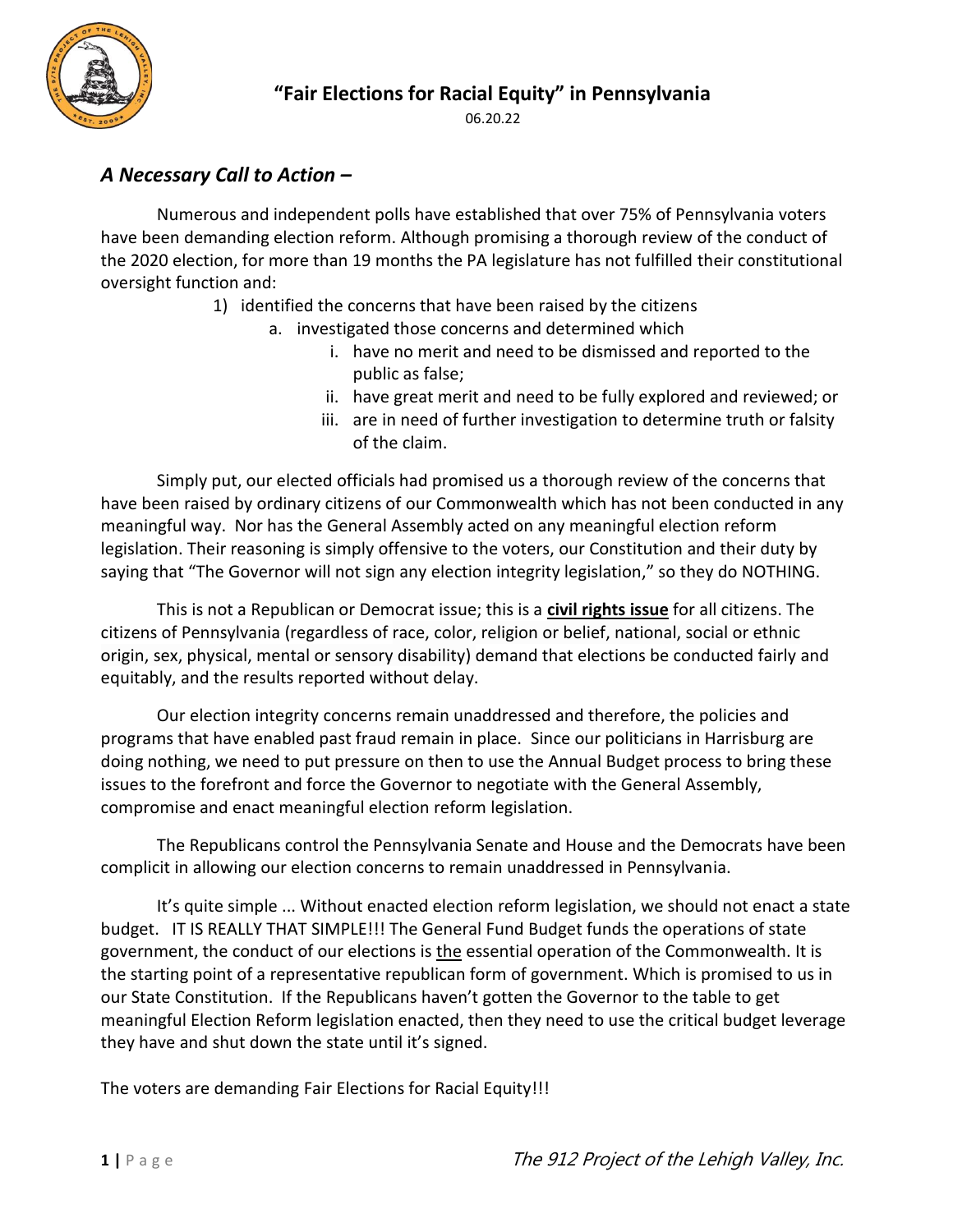

06.20.22

## *A Necessary Call to Action –*

Numerous and independent polls have established that over 75% of Pennsylvania voters have been demanding election reform. Although promising a thorough review of the conduct of the 2020 election, for more than 19 months the PA legislature has not fulfilled their constitutional oversight function and:

- 1) identified the concerns that have been raised by the citizens
	- a. investigated those concerns and determined which
		- i. have no merit and need to be dismissed and reported to the public as false;
		- ii. have great merit and need to be fully explored and reviewed; or
		- iii. are in need of further investigation to determine truth or falsity of the claim.

Simply put, our elected officials had promised us a thorough review of the concerns that have been raised by ordinary citizens of our Commonwealth which has not been conducted in any meaningful way. Nor has the General Assembly acted on any meaningful election reform legislation. Their reasoning is simply offensive to the voters, our Constitution and their duty by saying that "The Governor will not sign any election integrity legislation," so they do NOTHING.

This is not a Republican or Democrat issue; this is a **civil rights issue** for all citizens. The citizens of Pennsylvania (regardless of race, color, religion or belief, national, social or ethnic origin, sex, physical, mental or sensory disability) demand that elections be conducted fairly and equitably, and the results reported without delay.

Our election integrity concerns remain unaddressed and therefore, the policies and programs that have enabled past fraud remain in place. Since our politicians in Harrisburg are doing nothing, we need to put pressure on then to use the Annual Budget process to bring these issues to the forefront and force the Governor to negotiate with the General Assembly, compromise and enact meaningful election reform legislation.

The Republicans control the Pennsylvania Senate and House and the Democrats have been complicit in allowing our election concerns to remain unaddressed in Pennsylvania.

It's quite simple ... Without enacted election reform legislation, we should not enact a state budget. IT IS REALLY THAT SIMPLE!!! The General Fund Budget funds the operations of state government, the conduct of our elections is the essential operation of the Commonwealth. It is the starting point of a representative republican form of government. Which is promised to us in our State Constitution. If the Republicans haven't gotten the Governor to the table to get meaningful Election Reform legislation enacted, then they need to use the critical budget leverage they have and shut down the state until it's signed.

The voters are demanding Fair Elections for Racial Equity!!!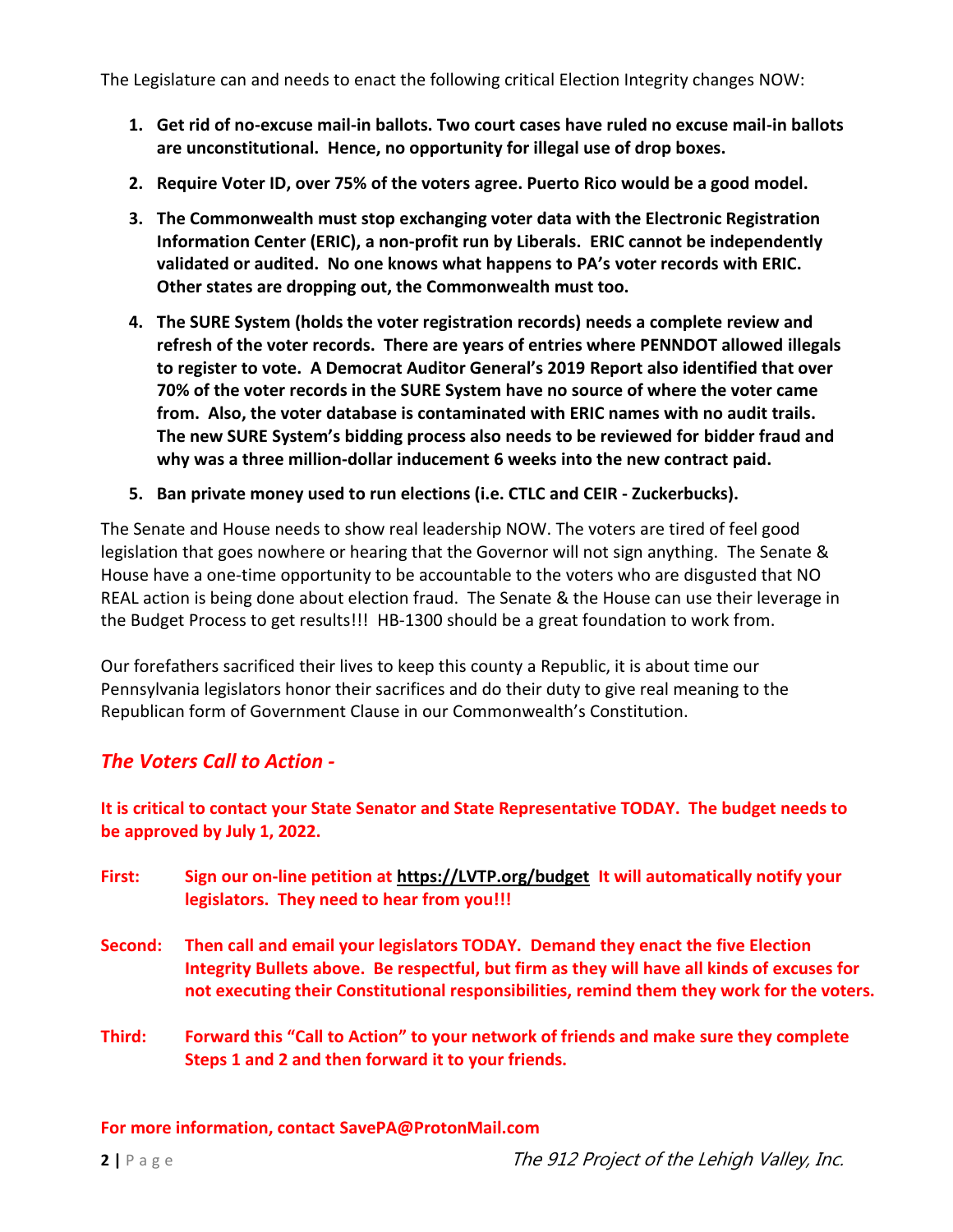The Legislature can and needs to enact the following critical Election Integrity changes NOW:

- **1. Get rid of no-excuse mail-in ballots. Two court cases have ruled no excuse mail-in ballots are unconstitutional. Hence, no opportunity for illegal use of drop boxes.**
- **2. Require Voter ID, over 75% of the voters agree. Puerto Rico would be a good model.**
- **3. The Commonwealth must stop exchanging voter data with the Electronic Registration Information Center (ERIC), a non-profit run by Liberals. ERIC cannot be independently validated or audited. No one knows what happens to PA's voter records with ERIC. Other states are dropping out, the Commonwealth must too.**
- **4. The SURE System (holds the voter registration records) needs a complete review and refresh of the voter records. There are years of entries where PENNDOT allowed illegals to register to vote. A Democrat Auditor General's 2019 Report also identified that over 70% of the voter records in the SURE System have no source of where the voter came from. Also, the voter database is contaminated with ERIC names with no audit trails. The new SURE System's bidding process also needs to be reviewed for bidder fraud and why was a three million-dollar inducement 6 weeks into the new contract paid.**
- **5. Ban private money used to run elections (i.e. CTLC and CEIR - Zuckerbucks).**

The Senate and House needs to show real leadership NOW. The voters are tired of feel good legislation that goes nowhere or hearing that the Governor will not sign anything. The Senate & House have a one-time opportunity to be accountable to the voters who are disgusted that NO REAL action is being done about election fraud. The Senate & the House can use their leverage in the Budget Process to get results!!! HB-1300 should be a great foundation to work from.

Our forefathers sacrificed their lives to keep this county a Republic, it is about time our Pennsylvania legislators honor their sacrifices and do their duty to give real meaning to the Republican form of Government Clause in our Commonwealth's Constitution.

## *The Voters Call to Action -*

**It is critical to contact your State Senator and State Representative TODAY. The budget needs to be approved by July 1, 2022.**

- **First: Sign our on-line petition at [https://LVTP.org/budget](https://lvtp.org/budget) It will automatically notify your legislators. They need to hear from you!!!**
- **Second: Then call and email your legislators TODAY. Demand they enact the five Election Integrity Bullets above. Be respectful, but firm as they will have all kinds of excuses for not executing their Constitutional responsibilities, remind them they work for the voters.**
- **Third: Forward this "Call to Action" to your network of friends and make sure they complete Steps 1 and 2 and then forward it to your friends.**

**For more information, contact SavePA@ProtonMail.com**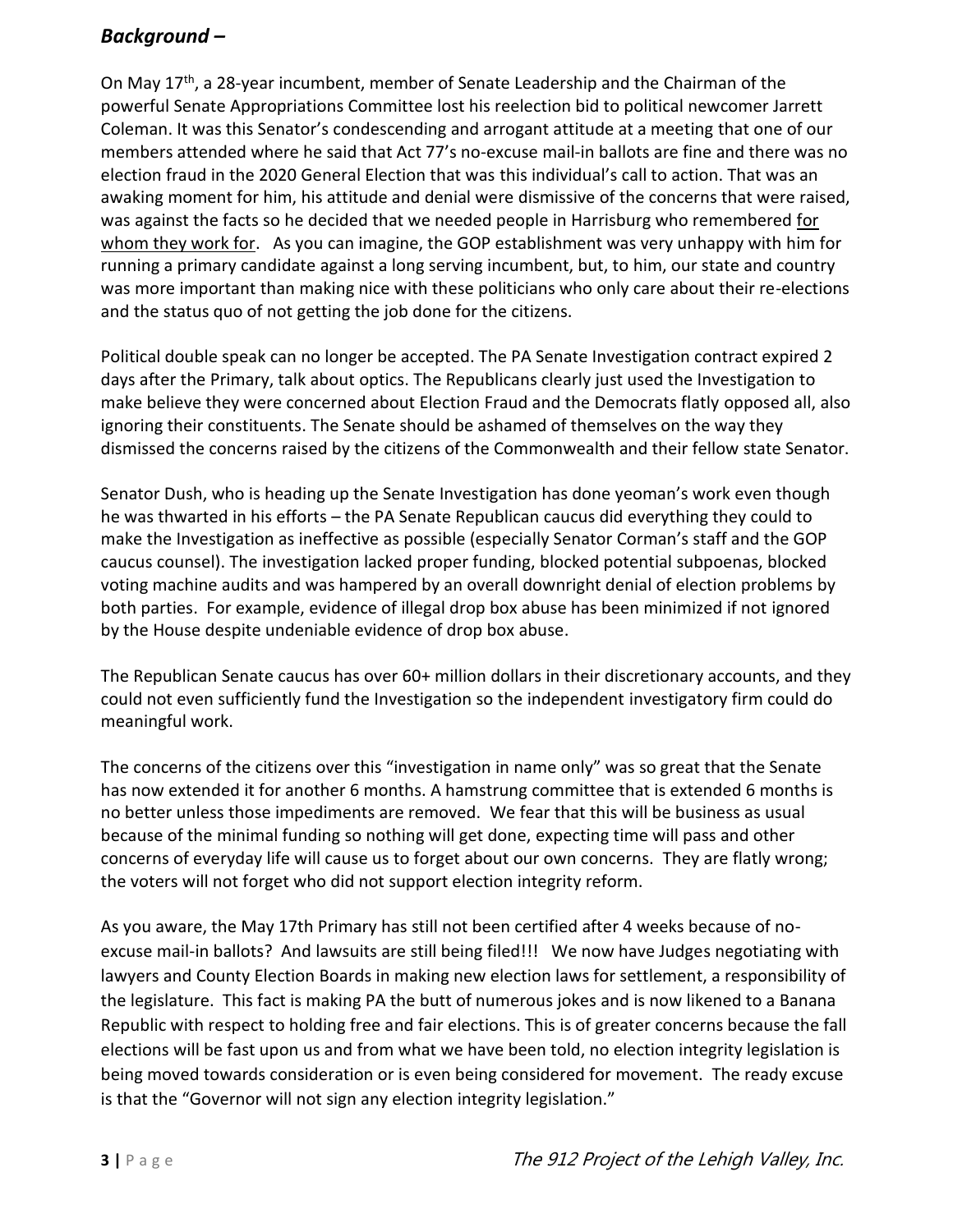## *Background –*

On May 17<sup>th</sup>, a 28-year incumbent, member of Senate Leadership and the Chairman of the powerful Senate Appropriations Committee lost his reelection bid to political newcomer Jarrett Coleman. It was this Senator's condescending and arrogant attitude at a meeting that one of our members attended where he said that Act 77's no-excuse mail-in ballots are fine and there was no election fraud in the 2020 General Election that was this individual's call to action. That was an awaking moment for him, his attitude and denial were dismissive of the concerns that were raised, was against the facts so he decided that we needed people in Harrisburg who remembered for whom they work for. As you can imagine, the GOP establishment was very unhappy with him for running a primary candidate against a long serving incumbent, but, to him, our state and country was more important than making nice with these politicians who only care about their re-elections and the status quo of not getting the job done for the citizens.

Political double speak can no longer be accepted. The PA Senate Investigation contract expired 2 days after the Primary, talk about optics. The Republicans clearly just used the Investigation to make believe they were concerned about Election Fraud and the Democrats flatly opposed all, also ignoring their constituents. The Senate should be ashamed of themselves on the way they dismissed the concerns raised by the citizens of the Commonwealth and their fellow state Senator.

Senator Dush, who is heading up the Senate Investigation has done yeoman's work even though he was thwarted in his efforts – the PA Senate Republican caucus did everything they could to make the Investigation as ineffective as possible (especially Senator Corman's staff and the GOP caucus counsel). The investigation lacked proper funding, blocked potential subpoenas, blocked voting machine audits and was hampered by an overall downright denial of election problems by both parties. For example, evidence of illegal drop box abuse has been minimized if not ignored by the House despite undeniable evidence of drop box abuse.

The Republican Senate caucus has over 60+ million dollars in their discretionary accounts, and they could not even sufficiently fund the Investigation so the independent investigatory firm could do meaningful work.

The concerns of the citizens over this "investigation in name only" was so great that the Senate has now extended it for another 6 months. A hamstrung committee that is extended 6 months is no better unless those impediments are removed. We fear that this will be business as usual because of the minimal funding so nothing will get done, expecting time will pass and other concerns of everyday life will cause us to forget about our own concerns. They are flatly wrong; the voters will not forget who did not support election integrity reform.

As you aware, the May 17th Primary has still not been certified after 4 weeks because of noexcuse mail-in ballots? And lawsuits are still being filed!!! We now have Judges negotiating with lawyers and County Election Boards in making new election laws for settlement, a responsibility of the legislature. This fact is making PA the butt of numerous jokes and is now likened to a Banana Republic with respect to holding free and fair elections. This is of greater concerns because the fall elections will be fast upon us and from what we have been told, no election integrity legislation is being moved towards consideration or is even being considered for movement. The ready excuse is that the "Governor will not sign any election integrity legislation."